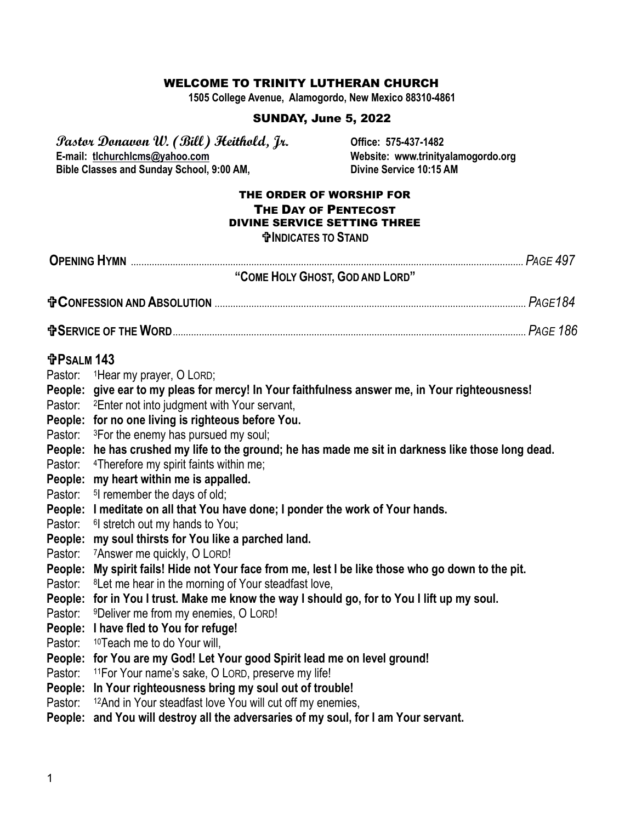#### WELCOME TO TRINITY LUTHERAN CHURCH

**1505 College Avenue, Alamogordo, New Mexico 88310-4861**

### SUNDAY, June 5, 2022

**Pastor Donavon W. (Bill) Heithold, Jr. Office: 575-437-1482 Bible Classes and Sunday School, 9:00 AM,** 

Website: www.trinityalamogordo.org<br>Divine Service 10:15 AM

#### THE ORDER OF WORSHIP FOR THE DAY OF PENTECOST DIVINE SERVICE SETTING THREE **INDICATES TO STAND**

| "COME HOLY GHOST, GOD AND LORD"                                                                                                            |                                                                                                                                                                                                                                                                                                                                                                                                                                                                                                                                                                                                                                                                                                                                                                                                                                                                                                                                                                                                                                                                                                                                                                                                                                                                                                                                                                                                                                                                                                                                                                                          |  |  |
|--------------------------------------------------------------------------------------------------------------------------------------------|------------------------------------------------------------------------------------------------------------------------------------------------------------------------------------------------------------------------------------------------------------------------------------------------------------------------------------------------------------------------------------------------------------------------------------------------------------------------------------------------------------------------------------------------------------------------------------------------------------------------------------------------------------------------------------------------------------------------------------------------------------------------------------------------------------------------------------------------------------------------------------------------------------------------------------------------------------------------------------------------------------------------------------------------------------------------------------------------------------------------------------------------------------------------------------------------------------------------------------------------------------------------------------------------------------------------------------------------------------------------------------------------------------------------------------------------------------------------------------------------------------------------------------------------------------------------------------------|--|--|
|                                                                                                                                            |                                                                                                                                                                                                                                                                                                                                                                                                                                                                                                                                                                                                                                                                                                                                                                                                                                                                                                                                                                                                                                                                                                                                                                                                                                                                                                                                                                                                                                                                                                                                                                                          |  |  |
|                                                                                                                                            |                                                                                                                                                                                                                                                                                                                                                                                                                                                                                                                                                                                                                                                                                                                                                                                                                                                                                                                                                                                                                                                                                                                                                                                                                                                                                                                                                                                                                                                                                                                                                                                          |  |  |
| <b>fPSALM 143</b><br>Pastor:<br>Pastor:<br>Pastor:<br>Pastor:<br>People:<br>Pastor:<br>Pastor:<br>Pastor:<br>Pastor:<br>Pastor:<br>Pastor: | Pastor: 1Hear my prayer, O LORD;<br>People: give ear to my pleas for mercy! In Your faithfulness answer me, in Your righteousness!<br>Pastor: <sup>2</sup> Enter not into judgment with Your servant,<br>People: for no one living is righteous before You.<br><sup>3</sup> For the enemy has pursued my soul;<br>People: he has crushed my life to the ground; he has made me sit in darkness like those long dead.<br><sup>4</sup> Therefore my spirit faints within me;<br>People: my heart within me is appalled.<br><sup>5</sup> l remember the days of old;<br>People: I meditate on all that You have done; I ponder the work of Your hands.<br><sup>6</sup> stretch out my hands to You;<br>my soul thirsts for You like a parched land.<br><sup>7</sup> Answer me quickly, O LORD!<br>People: My spirit fails! Hide not Your face from me, lest I be like those who go down to the pit.<br><sup>8</sup> Let me hear in the morning of Your steadfast love,<br>People: for in You I trust. Make me know the way I should go, for to You I lift up my soul.<br><sup>9</sup> Deliver me from my enemies, O LORD!<br>People: I have fled to You for refuge!<br><sup>10</sup> Teach me to do Your will,<br>People: for You are my God! Let Your good Spirit lead me on level ground!<br><sup>11</sup> For Your name's sake, O LORD, preserve my life!<br>People: In Your righteousness bring my soul out of trouble!<br><sup>12</sup> And in Your steadfast love You will cut off my enemies,<br>People: and You will destroy all the adversaries of my soul, for I am Your servant. |  |  |
|                                                                                                                                            |                                                                                                                                                                                                                                                                                                                                                                                                                                                                                                                                                                                                                                                                                                                                                                                                                                                                                                                                                                                                                                                                                                                                                                                                                                                                                                                                                                                                                                                                                                                                                                                          |  |  |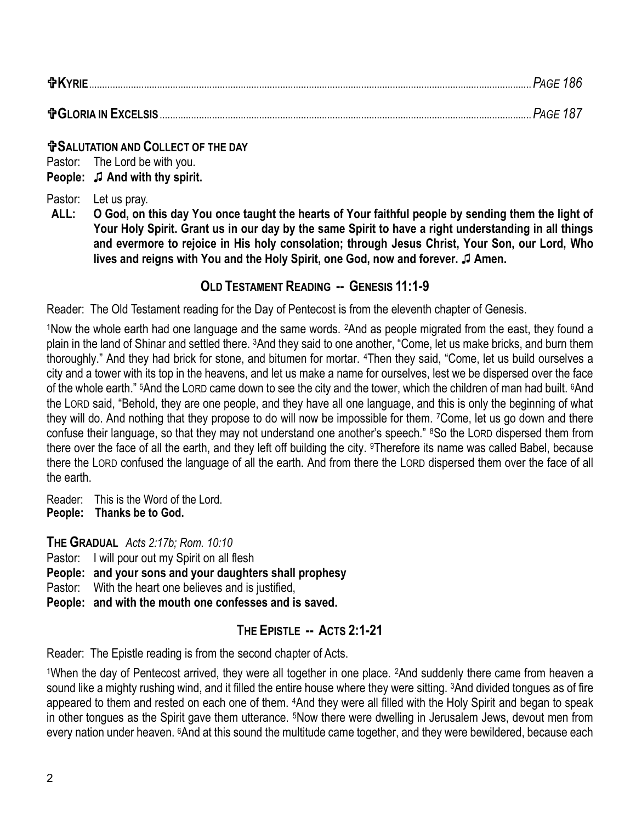### **SALUTATION AND COLLECT OF THE DAY**

Pastor: The Lord be with you. **People:** ♫ **And with thy spirit.**

Pastor: Let us pray.

**ALL: O God, on this day You once taught the hearts of Your faithful people by sending them the light of Your Holy Spirit. Grant us in our day by the same Spirit to have a right understanding in all things and evermore to rejoice in His holy consolation; through Jesus Christ, Your Son, our Lord, Who lives and reigns with You and the Holy Spirit, one God, now and forever.** ♫ **Amen.** 

## **OLD TESTAMENT READING -- GENESIS 11:1-9**

Reader: The Old Testament reading for the Day of Pentecost is from the eleventh chapter of Genesis.

<sup>1</sup>Now the whole earth had one language and the same words. 2And as people migrated from the east, they found a plain in the land of Shinar and settled there. 3And they said to one another, "Come, let us make bricks, and burn them thoroughly." And they had brick for stone, and bitumen for mortar. 4Then they said, "Come, let us build ourselves a city and a tower with its top in the heavens, and let us make a name for ourselves, lest we be dispersed over the face of the whole earth." <sup>5</sup>And the LORD came down to see the city and the tower, which the children of man had built. <sup>6</sup>And the LORD said, "Behold, they are one people, and they have all one language, and this is only the beginning of what they will do. And nothing that they propose to do will now be impossible for them. 7Come, let us go down and there confuse their language, so that they may not understand one another's speech." <sup>8</sup>So the LORD dispersed them from there over the face of all the earth, and they left off building the city. 9Therefore its name was called Babel, because there the LORD confused the language of all the earth. And from there the LORD dispersed them over the face of all the earth.

Reader: This is the Word of the Lord. **People: Thanks be to God.**

**THE GRADUAL** *Acts 2:17b; Rom. 10:10*

Pastor: I will pour out my Spirit on all flesh

**People: and your sons and your daughters shall prophesy**

Pastor: With the heart one believes and is justified,

**People: and with the mouth one confesses and is saved.**

## **THE EPISTLE -- ACTS 2:1-21**

Reader: The Epistle reading is from the second chapter of Acts.

<sup>1</sup>When the day of Pentecost arrived, they were all together in one place. 2And suddenly there came from heaven a sound like a mighty rushing wind, and it filled the entire house where they were sitting. 3And divided tongues as of fire appeared to them and rested on each one of them. 4And they were all filled with the Holy Spirit and began to speak in other tongues as the Spirit gave them utterance. 5Now there were dwelling in Jerusalem Jews, devout men from every nation under heaven. 6And at this sound the multitude came together, and they were bewildered, because each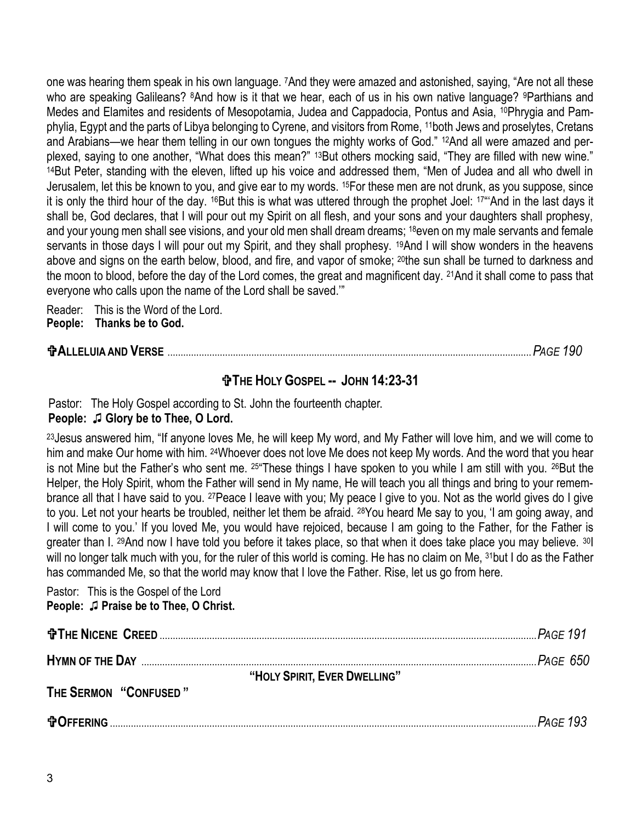one was hearing them speak in his own language. 7And they were amazed and astonished, saying, "Are not all these who are speaking Galileans? <sup>8</sup>And how is it that we hear, each of us in his own native language? <sup>9</sup>Parthians and Medes and Elamites and residents of Mesopotamia, Judea and Cappadocia, Pontus and Asia, <sup>10</sup>Phrygia and Pamphylia, Egypt and the parts of Libya belonging to Cyrene, and visitors from Rome, 11both Jews and proselytes, Cretans and Arabians—we hear them telling in our own tongues the mighty works of God." 12And all were amazed and perplexed, saying to one another, "What does this mean?" <sup>13</sup>But others mocking said, "They are filled with new wine." <sup>14</sup>But Peter, standing with the eleven, lifted up his voice and addressed them, "Men of Judea and all who dwell in Jerusalem, let this be known to you, and give ear to my words. 15For these men are not drunk, as you suppose, since it is only the third hour of the day. <sup>16</sup>But this is what was uttered through the prophet Joel: <sup>17"</sup>'And in the last days it shall be, God declares, that I will pour out my Spirit on all flesh, and your sons and your daughters shall prophesy, and your young men shall see visions, and your old men shall dream dreams; 18even on my male servants and female servants in those days I will pour out my Spirit, and they shall prophesy. <sup>19</sup>And I will show wonders in the heavens above and signs on the earth below, blood, and fire, and vapor of smoke; <sup>20</sup>the sun shall be turned to darkness and the moon to blood, before the day of the Lord comes, the great and magnificent day. 21And it shall come to pass that everyone who calls upon the name of the Lord shall be saved.'"

Reader: This is the Word of the Lord. **People: Thanks be to God.**

| <b>TALLELUIA AND VERSE</b> |  |
|----------------------------|--|
|----------------------------|--|

# **THE HOLY GOSPEL -- JOHN 14:23-31**

Pastor: The Holy Gospel according to St. John the fourteenth chapter. **People:** ♫ **Glory be to Thee, O Lord.**

<sup>23</sup> Jesus answered him, "If anyone loves Me, he will keep My word, and My Father will love him, and we will come to him and make Our home with him. 24Whoever does not love Me does not keep My words. And the word that you hear is not Mine but the Father's who sent me. 25"These things I have spoken to you while I am still with you. 26But the Helper, the Holy Spirit, whom the Father will send in My name, He will teach you all things and bring to your remembrance all that I have said to you. 27Peace I leave with you; My peace I give to you. Not as the world gives do I give to you. Let not your hearts be troubled, neither let them be afraid. 28You heard Me say to you, 'I am going away, and I will come to you.' If you loved Me, you would have rejoiced, because I am going to the Father, for the Father is greater than I. 29And now I have told you before it takes place, so that when it does take place you may believe. 30I will no longer talk much with you, for the ruler of this world is coming. He has no claim on Me, <sup>31</sup>but I do as the Father has commanded Me, so that the world may know that I love the Father. Rise, let us go from here.

Pastor: This is the Gospel of the Lord **People:** ♫ **Praise be to Thee, O Christ.**

|                                                       | $\mathbb{R}$ Page 191 |
|-------------------------------------------------------|-----------------------|
|                                                       | .Page 650             |
| "HOLY SPIRIT, EVER DWELLING"<br>THE SERMON "CONFUSED" |                       |
| <b>OFFERING</b>                                       | Page 193              |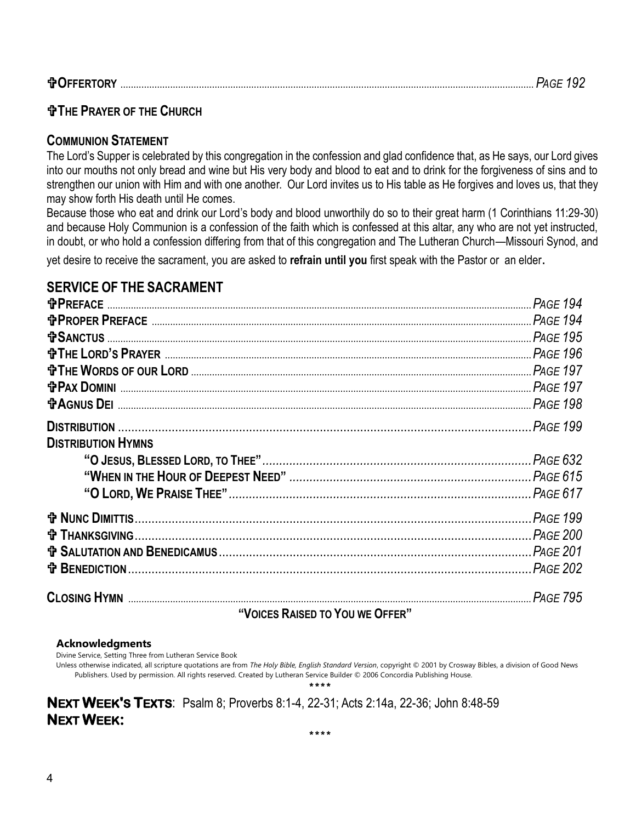|--|

### **THE PRAYER OF THE CHURCH**

### **COMMUNION STATEMENT**

The Lord's Supper is celebrated by this congregation in the confession and glad confidence that, as He says, our Lord gives into our mouths not only bread and wine but His very body and blood to eat and to drink for the forgiveness of sins and to strengthen our union with Him and with one another. Our Lord invites us to His table as He forgives and loves us, that they may show forth His death until He comes.

Because those who eat and drink our Lord's body and blood unworthily do so to their great harm (1 Corinthians 11:29-30) and because Holy Communion is a confession of the faith which is confessed at this altar, any who are not yet instructed, in doubt, or who hold a confession differing from that of this congregation and The Lutheran Church—Missouri Synod, and

yet desire to receive the sacrament, you are asked to **refrain until you** first speak with the Pastor or an elder.

# **SERVICE OF THE SACRAMENT**

| <b>t PAX DOMINI</b>             |  |  |
|---------------------------------|--|--|
|                                 |  |  |
|                                 |  |  |
| <b>DISTRIBUTION HYMNS</b>       |  |  |
|                                 |  |  |
|                                 |  |  |
|                                 |  |  |
|                                 |  |  |
|                                 |  |  |
|                                 |  |  |
|                                 |  |  |
| <b>CLOSING HYMN</b>             |  |  |
| "VOICES RAISED TO YOU WE OFFER" |  |  |

#### **Acknowledgments**

Divine Service, Setting Three from Lutheran Service Book

Unless otherwise indicated, all scripture quotations are from *The Holy Bible, English Standard Version*, copyright © 2001 by Crosway Bibles, a division of Good News Publishers. Used by permission. All rights reserved. Created by Lutheran Service Builder © 2006 Concordia Publishing House.

\*\*\*\*

**NEXT WEEK'S TEXTS**: Psalm 8; Proverbs 8:1-4, 22-31; Acts 2:14a, 22-36; John 8:48-59 **NEXT WEEK:**  \*\*\*\*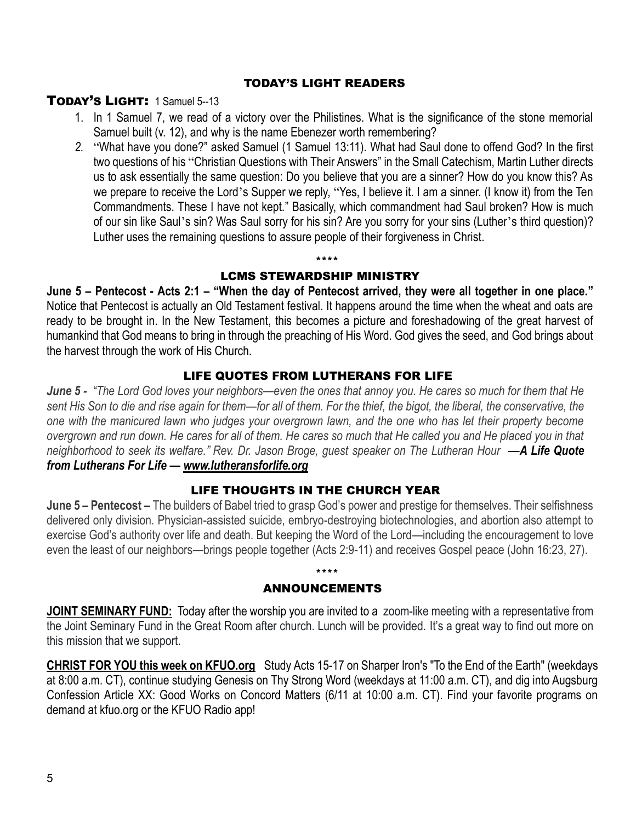#### TODAY'S LIGHT READERS

### TODAY'S LIGHT: 1 Samuel 5--13

- 1. In 1 Samuel 7, we read of a victory over the Philistines. What is the significance of the stone memorial Samuel built (v. 12), and why is the name Ebenezer worth remembering?
- *2.* "What have you done?" asked Samuel (1 Samuel 13:11). What had Saul done to offend God? In the first two questions of his "Christian Questions with Their Answers" in the Small Catechism, Martin Luther directs us to ask essentially the same question: Do you believe that you are a sinner? How do you know this? As we prepare to receive the Lord's Supper we reply, "Yes, I believe it. I am a sinner. (I know it) from the Ten Commandments. These I have not kept." Basically, which commandment had Saul broken? How is much of our sin like Saul's sin? Was Saul sorry for his sin? Are you sorry for your sins (Luther's third question)? Luther uses the remaining questions to assure people of their forgiveness in Christ*.*

### LCMS STEWARDSHIP MINISTRY

\*\*\*\*

**June 5 – Pentecost - Acts 2:1 – "When the day of Pentecost arrived, they were all together in one place."**  Notice that Pentecost is actually an Old Testament festival. It happens around the time when the wheat and oats are ready to be brought in. In the New Testament, this becomes a picture and foreshadowing of the great harvest of humankind that God means to bring in through the preaching of His Word. God gives the seed, and God brings about the harvest through the work of His Church.

#### LIFE QUOTES FROM LUTHERANS FOR LIFE

*June 5 - "The Lord God loves your neighbors—even the ones that annoy you. He cares so much for them that He sent His Son to die and rise again for them—for all of them. For the thief, the bigot, the liberal, the conservative, the one with the manicured lawn who judges your overgrown lawn, and the one who has let their property become overgrown and run down. He cares for all of them. He cares so much that He called you and He placed you in that neighborhood to seek its welfare." Rev. Dr. Jason Broge, guest speaker on The Lutheran Hour* ––*A Life Quote from Lutherans For Life — [www.lutheransforlife.org](http://www.lutheransforlife.org/)*

#### LIFE THOUGHTS IN THE CHURCH YEAR

**June 5 – Pentecost –** The builders of Babel tried to grasp God's power and prestige for themselves. Their selfishness delivered only division. Physician-assisted suicide, embryo-destroying biotechnologies, and abortion also attempt to exercise God's authority over life and death. But keeping the Word of the Lord—including the encouragement to love even the least of our neighbors—brings people together (Acts 2:9-11) and receives Gospel peace (John 16:23, 27).

#### ANNOUNCEMENTS

\*\*\*\*

**JOINT SEMINARY FUND:** Today after the worship you are invited to a zoom-like meeting with a representative from the Joint Seminary Fund in the Great Room after church. Lunch will be provided. It's a great way to find out more on this mission that we support.

**CHRIST FOR YOU this week on KFUO.org** Study Acts 15-17 on Sharper Iron's "To the End of the Earth" (weekdays at 8:00 a.m. CT), continue studying Genesis on Thy Strong Word (weekdays at 11:00 a.m. CT), and dig into Augsburg Confession Article XX: Good Works on Concord Matters (6/11 at 10:00 a.m. CT). Find your favorite programs on demand at kfuo.org or the KFUO Radio app!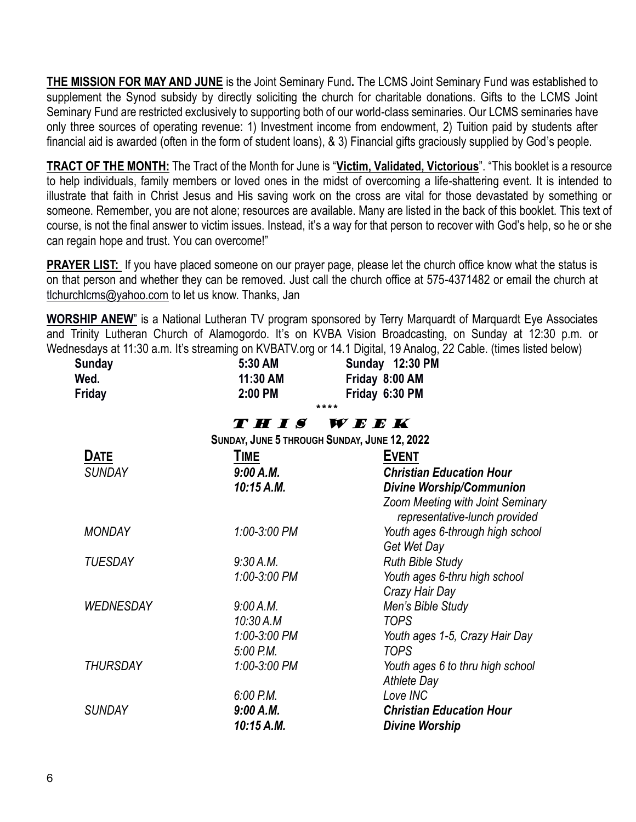**THE MISSION FOR MAY AND JUNE** is the Joint Seminary Fund**.** The LCMS Joint Seminary Fund was established to supplement the Synod subsidy by directly soliciting the church for charitable donations. Gifts to the LCMS Joint Seminary Fund are restricted exclusively to supporting both of our world-class seminaries. Our LCMS seminaries have only three sources of operating revenue: 1) Investment income from endowment, 2) Tuition paid by students after financial aid is awarded (often in the form of student loans), & 3) Financial gifts graciously supplied by God's people.

**TRACT OF THE MONTH:** The Tract of the Month for June is "**Victim, Validated, Victorious**". "This booklet is a resource to help individuals, family members or loved ones in the midst of overcoming a life-shattering event. It is intended to illustrate that faith in Christ Jesus and His saving work on the cross are vital for those devastated by something or someone. Remember, you are not alone; resources are available. Many are listed in the back of this booklet. This text of course, is not the final answer to victim issues. Instead, it's a way for that person to recover with God's help, so he or she can regain hope and trust. You can overcome!"

**PRAYER LIST:** If you have placed someone on our prayer page, please let the church office know what the status is on that person and whether they can be removed. Just call the church office at 575-4371482 or email the church at [tlchurchlcms@yahoo.com](mailto:tlchurchlcms@yahoo.com) to let us know. Thanks, Jan

**WORSHIP ANEW**" is a National Lutheran TV program sponsored by Terry Marquardt of Marquardt Eye Associates and Trinity Lutheran Church of Alamogordo. It's on KVBA Vision Broadcasting, on Sunday at 12:30 p.m. or Wednesdays at 11:30 a.m. It's streaming on KVBATV.org or 14.1 Digital, 19 Analog, 22 Cable. (times listed below)

| <b>Sunday</b><br>Wed. | 5:30 AM<br>11:30 AM                          | Sunday 12:30 PM<br>Friday 8:00 AM                          |
|-----------------------|----------------------------------------------|------------------------------------------------------------|
| Friday                | 2:00 PM                                      | Friday 6:30 PM                                             |
|                       |                                              | ****                                                       |
|                       | THIS                                         | $\boldsymbol{W}\boldsymbol{E}\boldsymbol{E}\boldsymbol{K}$ |
|                       | SUNDAY, JUNE 5 THROUGH SUNDAY, JUNE 12, 2022 |                                                            |
| <b>DATE</b>           | TIME                                         | <b>EVENT</b>                                               |
| <b>SUNDAY</b>         | 9:00 A.M.                                    | <b>Christian Education Hour</b>                            |
|                       | 10:15 A.M.                                   | <b>Divine Worship/Communion</b>                            |
|                       |                                              | Zoom Meeting with Joint Seminary                           |
|                       |                                              | representative-lunch provided                              |
| <b>MONDAY</b>         | 1:00-3:00 PM                                 | Youth ages 6-through high school                           |
|                       |                                              | Get Wet Day                                                |
| <b>TUESDAY</b>        | 9:30 A.M.                                    | <b>Ruth Bible Study</b>                                    |
|                       | 1:00-3:00 PM                                 | Youth ages 6-thru high school                              |
|                       |                                              | Crazy Hair Day                                             |
| <b>WEDNESDAY</b>      | 9:00 A.M.                                    | Men's Bible Study                                          |
|                       | 10:30 A.M                                    | <b>TOPS</b>                                                |
|                       | 1:00-3:00 PM                                 | Youth ages 1-5, Crazy Hair Day                             |
|                       | $5.00$ P.M.                                  | <b>TOPS</b>                                                |
| <b>THURSDAY</b>       | 1:00-3:00 PM                                 | Youth ages 6 to thru high school                           |
|                       |                                              | <b>Athlete Day</b>                                         |
|                       | $6:00$ P.M.                                  | Love INC                                                   |
| <b>SUNDAY</b>         | 9:00 A.M.                                    | <b>Christian Education Hour</b>                            |
|                       | 10:15 A.M.                                   | <b>Divine Worship</b>                                      |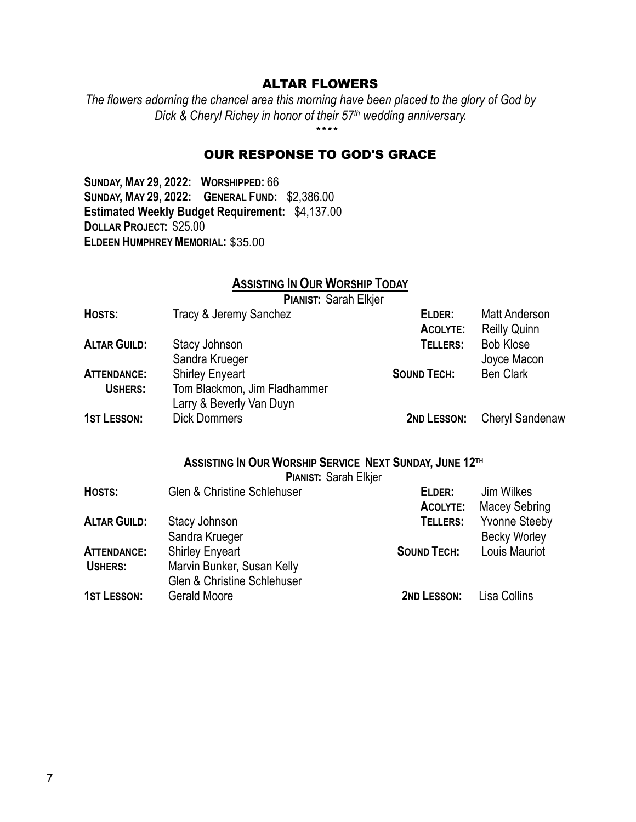#### ALTAR FLOWERS

*The flowers adorning the chancel area this morning have been placed to the glory of God by Dick & Cheryl Richey in honor of their 57th wedding anniversary.*

\*\*\*\*

#### OUR RESPONSE TO GOD'S GRACE

**SUNDAY, MAY 29, 2022: WORSHIPPED:** 66 **SUNDAY, MAY 29, 2022: GENERAL FUND:** \$2,386.00 **Estimated Weekly Budget Requirement:** \$4,137.00 **DOLLAR PROJECT:** \$25.00 **ELDEEN HUMPHREY MEMORIAL:** \$35.00

### **ASSISTING IN OUR WORSHIP TODAY**

**PIANIST:** Sarah Elkjer

| HOSTS:              | Tracy & Jeremy Sanchez       | ELDER:             | <b>Matt Anderson</b>   |
|---------------------|------------------------------|--------------------|------------------------|
|                     |                              | ACOLYTE:           | <b>Reilly Quinn</b>    |
| <b>ALTAR GUILD:</b> | Stacy Johnson                | TELLERS:           | <b>Bob Klose</b>       |
|                     | Sandra Krueger               |                    | Joyce Macon            |
| <b>ATTENDANCE:</b>  | <b>Shirley Enyeart</b>       | <b>SOUND TECH:</b> | <b>Ben Clark</b>       |
| USHERS:             | Tom Blackmon, Jim Fladhammer |                    |                        |
|                     | Larry & Beverly Van Duyn     |                    |                        |
| <b>1ST LESSON:</b>  | <b>Dick Dommers</b>          | 2ND LESSON:        | <b>Cheryl Sandenaw</b> |

#### **ASSISTING IN OUR WORSHIP SERVICE NEXT SUNDAY, JUNE 12TH**

**PIANIST:** Sarah Elkjer

| HOSTS:              | <b>Glen &amp; Christine Schlehuser</b> | ELDER:             | Jim Wilkes           |
|---------------------|----------------------------------------|--------------------|----------------------|
|                     |                                        | <b>ACOLYTE:</b>    | Macey Sebring        |
| <b>ALTAR GUILD:</b> | Stacy Johnson                          | TELLERS:           | <b>Yvonne Steeby</b> |
|                     | Sandra Krueger                         |                    | <b>Becky Worley</b>  |
| <b>ATTENDANCE:</b>  | <b>Shirley Enyeart</b>                 | <b>SOUND TECH:</b> | Louis Mauriot        |
| USHERS:             | Marvin Bunker, Susan Kelly             |                    |                      |
|                     | Glen & Christine Schlehuser            |                    |                      |
| <b>1ST LESSON:</b>  | Gerald Moore                           | 2ND LESSON:        | Lisa Collins         |